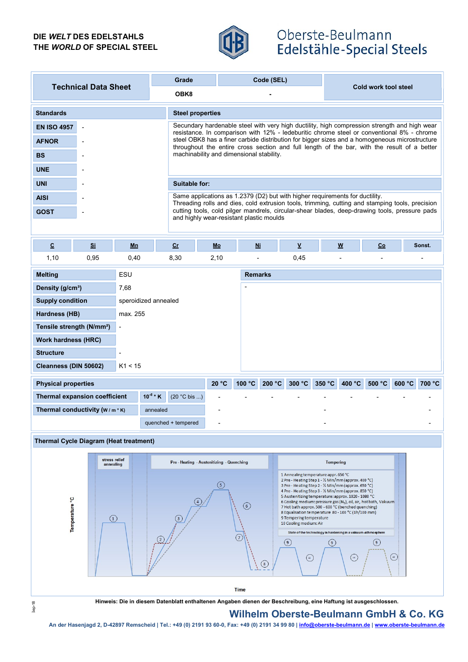### DIE WELT DES EDELSTAHLS THE WORLD OF SPECIAL STEEL



# Oberste-Beulmann Edelstähle-Special Steels

| <b>Technical Data Sheet</b>                           |      |          | Grade                |                                                                                                                                                                                              |        | Code (SEL)       |        |                      |                  |  |  |
|-------------------------------------------------------|------|----------|----------------------|----------------------------------------------------------------------------------------------------------------------------------------------------------------------------------------------|--------|------------------|--------|----------------------|------------------|--|--|
|                                                       |      |          | OBK8                 |                                                                                                                                                                                              |        |                  |        | Cold work tool steel |                  |  |  |
| <b>Standards</b>                                      |      |          |                      | <b>Steel properties</b>                                                                                                                                                                      |        |                  |        |                      |                  |  |  |
| <b>EN ISO 4957</b>                                    |      |          |                      | Secundary hardenable steel with very high ductility, high compression strength and high wear<br>resistance. In comparison with 12% - ledeburitic chrome steel or conventional 8% - chrome    |        |                  |        |                      |                  |  |  |
| <b>AFNOR</b>                                          |      |          |                      | steel OBK8 has a finer carbide distribution for bigger sizes and a homogeneous microstructure<br>throughout the entire cross section and full length of the bar, with the result of a better |        |                  |        |                      |                  |  |  |
| <b>BS</b>                                             |      |          |                      | machinability and dimensional stability.                                                                                                                                                     |        |                  |        |                      |                  |  |  |
| <b>UNE</b>                                            |      |          |                      |                                                                                                                                                                                              |        |                  |        |                      |                  |  |  |
| <b>UNI</b>                                            |      |          |                      | Suitable for:                                                                                                                                                                                |        |                  |        |                      |                  |  |  |
| <b>AISI</b>                                           |      |          |                      | Same applications as 1.2379 (D2) but with higher requirements for ductility.<br>Threading rolls and dies, cold extrusion tools, trimming, cutting and stamping tools, precision              |        |                  |        |                      |                  |  |  |
| <b>GOST</b>                                           |      |          |                      | cutting tools, cold pilger mandrels, circular-shear blades, deep-drawing tools, pressure pads<br>and highly wear-resistant plastic moulds                                                    |        |                  |        |                      |                  |  |  |
|                                                       |      |          |                      |                                                                                                                                                                                              |        |                  |        |                      |                  |  |  |
| $\underline{\mathbf{c}}$                              | Si   | Mn       | cr                   | Mo                                                                                                                                                                                           | Ni     | $\underline{v}$  | W      | Co                   | Sonst.           |  |  |
| 1,10                                                  | 0,95 | 0,40     | 8,30                 | 2,10                                                                                                                                                                                         |        | 0,45             |        |                      |                  |  |  |
| <b>Melting</b><br>ESU                                 |      |          |                      | <b>Remarks</b>                                                                                                                                                                               |        |                  |        |                      |                  |  |  |
| Density (g/cm <sup>3</sup> )                          |      | 7,68     |                      |                                                                                                                                                                                              |        |                  |        |                      |                  |  |  |
| <b>Supply condition</b>                               |      |          | speroidized annealed |                                                                                                                                                                                              |        |                  |        |                      |                  |  |  |
| Hardness (HB)                                         |      | max. 255 |                      |                                                                                                                                                                                              |        |                  |        |                      |                  |  |  |
| Tensile strength (N/mm <sup>2</sup> )                 |      | ÷,       |                      |                                                                                                                                                                                              |        |                  |        |                      |                  |  |  |
| <b>Work hardness (HRC)</b>                            |      |          |                      |                                                                                                                                                                                              |        |                  |        |                      |                  |  |  |
| <b>Structure</b>                                      |      |          |                      |                                                                                                                                                                                              |        |                  |        |                      |                  |  |  |
| Cleanness (DIN 50602)<br>K1 < 15                      |      |          |                      |                                                                                                                                                                                              |        |                  |        |                      |                  |  |  |
| <b>Physical properties</b>                            |      |          |                      | 20 °C                                                                                                                                                                                        | 100 °C | 200 °C<br>300 °C | 350 °C | 400 °C<br>500 °C     | 600 °C<br>700 °C |  |  |
| $10^{-6}$ * K<br><b>Thermal expansion coefficient</b> |      |          | (20 °C bis )         |                                                                                                                                                                                              |        |                  |        |                      |                  |  |  |
| Thermal conductivity (W/m*K)<br>annealed              |      |          |                      |                                                                                                                                                                                              |        |                  |        |                      |                  |  |  |
| quenched + tempered                                   |      |          |                      |                                                                                                                                                                                              |        |                  |        |                      |                  |  |  |





An der Hasenjagd 2, D-42897 Remscheid | Tel.: +49 (0) 2191 93 60-0, Fax: +49 (0) 2191 93 60-0, Fax: +49 (0) 2191 93 60-0, Fax: +49 (0) 2191 93 60 | info@oberste-beulmann.de | www.oberste-beulmann.de | www.oberste-beulmann